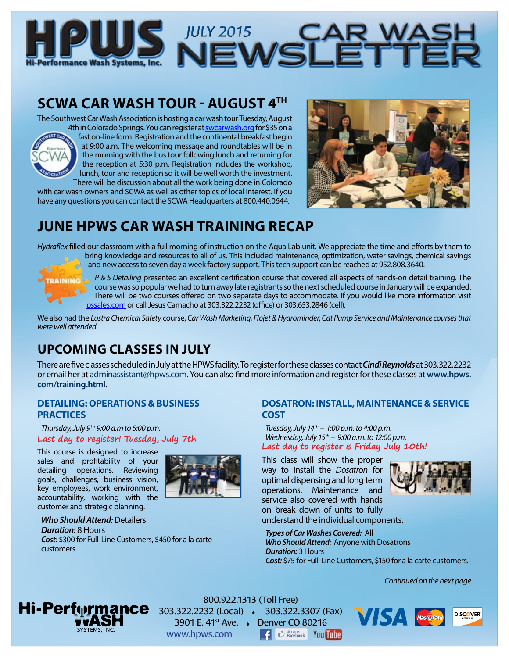

# **SCWA CAR WASH TOUR - AUGUST 4TH**

The Southwest Car Wash Association is hosting a car wash tour Tuesday, August 4th in Colorado Springs. You can register at swcarwash.org for \$35 on a



fast on-line form. Registration and the continental breakfast begin at 9:00 a.m. The welcoming message and roundtables will be in the morning with the bus tour following lunch and returning for the reception at 5:30 p.m. Registration includes the workshop, lunch, tour and reception so it will be well worth the investment. There will be discussion about all the work being done in Colorado

with car wash owners and SCWA as well as other topics of local interest. If you have any questions you can contact the SCWA Headquarters at 800.440.0644.



# **JUNE HPWS CAR WASH TRAINING RECAP**

*Hydraflex* filled our classroom with a full morning of instruction on the Aqua Lab unit. We appreciate the time and efforts by them to bring knowledge and resources to all of us. This included maintenance, optimization, water savings, chemical savings and new access to seven day a week factory support. This tech support can be reached at 952.808.3640.



*P & S Detailing* presented an excellent certification course that covered all aspects of hands-on detail training. The course was so popular we had to turn away late registrants so the next scheduled course in January will be expanded. There will be two courses offered on two separate days to accommodate. If you would like more information visit pssales.com or call Jesus Camacho at 303.322.2232 (office) or 303.653.2846 (cell).

We also had the *Lustra Chemical Safety* course, *Car Wash Marketing*, *Flojet & Hydrominder*, *Cat Pump Service and Maintenance courses that were well attended.* 

# **UPCOMING CLASSES IN JULY**

There are five classes scheduled in July at the HPWS facility. To register for these classes contact *Cindi Reynolds* at 303.322.2232 or email her at [adminassistant@hpws.com.](mailto:adminassistant%40hpws.com?subject=) You can also find more information and register for these classes at **[www.hpws.](http://www.hpws.com/training.html) [com/training.html](http://www.hpws.com/training.html)**.

## **DETAILING: OPERATIONS & BUSINESS PRACTICES**

*Thursday, July 9th 9:00 a.m to 5:00 p.m.* **Last day to register! Tuesday, July 7th**

This course is designed to increase sales and profitability of your detailing operations. Reviewing goals, challenges, business vision, key employees, work environment, accountability, working with the customer and strategic planning.



#### *Who Should Attend:* Detailers *Duration:* 8 Hours *Cost:* \$300 for Full-Line Customers, \$450 for a la carte

customers.

## **DOSATRON: INSTALL, MAINTENANCE & SERVICE COST**

*Tuesday, July 14th – 1:00 p.m. to 4:00 p.m. Wednesday, July 15th – 9:00 a.m. to 12:00 p.m.* **Last day to register is Friday July 10th!**

This class will show the proper way to install the *Dosatron* for optimal dispensing and long term operations. Maintenance and service also covered with hands on break down of units to fully understand the individual components.



*Types of Car Washes Covered:* All *Who Should Attend:* Anyone with Dosatrons *Duration:* 3 Hours *Cost:* \$75 for Full-Line Customers, \$150 for a la carte customers.

VISA

*Continued on the next page*

**DISCOVER** 



800.922.1313 (Toll Free) 303.322.2232 (Local) 303.322.3307 (Fax) 3901 E. 41st Ave. Denver CO 80216 **B** Excebook You Tung www.hpws.com